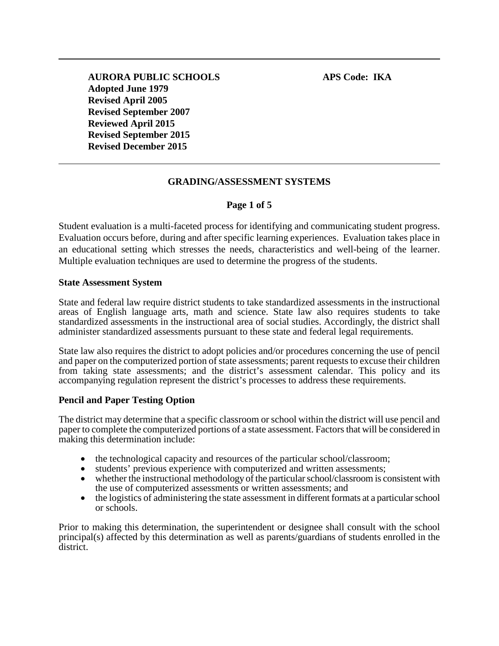# **GRADING/ASSESSMENT SYSTEMS**

## **Page 1 of 5**

Student evaluation is a multi-faceted process for identifying and communicating student progress. Evaluation occurs before, during and after specific learning experiences. Evaluation takes place in an educational setting which stresses the needs, characteristics and well-being of the learner. Multiple evaluation techniques are used to determine the progress of the students.

#### **State Assessment System**

State and federal law require district students to take standardized assessments in the instructional areas of English language arts, math and science. State law also requires students to take standardized assessments in the instructional area of social studies. Accordingly, the district shall administer standardized assessments pursuant to these state and federal legal requirements.

State law also requires the district to adopt policies and/or procedures concerning the use of pencil and paper on the computerized portion of state assessments; parent requests to excuse their children from taking state assessments; and the district's assessment calendar. This policy and its accompanying regulation represent the district's processes to address these requirements.

### **Pencil and Paper Testing Option**

The district may determine that a specific classroom or school within the district will use pencil and paper to complete the computerized portions of a state assessment. Factors that will be considered in making this determination include:

- the technological capacity and resources of the particular school/classroom;
- students' previous experience with computerized and written assessments;
- whether the instructional methodology of the particular school/classroom is consistent with the use of computerized assessments or written assessments; and
- the logistics of administering the state assessment in different formats at a particular school or schools.

Prior to making this determination, the superintendent or designee shall consult with the school principal(s) affected by this determination as well as parents/guardians of students enrolled in the district.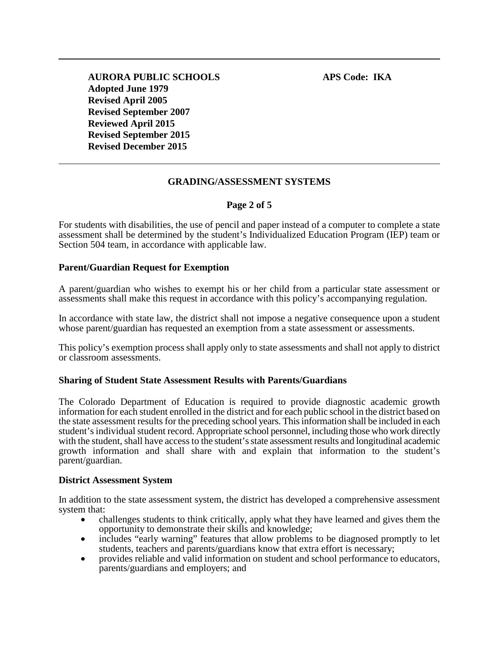## **GRADING/ASSESSMENT SYSTEMS**

### **Page 2 of 5**

For students with disabilities, the use of pencil and paper instead of a computer to complete a state assessment shall be determined by the student's Individualized Education Program (IEP) team or Section 504 team, in accordance with applicable law.

### **Parent/Guardian Request for Exemption**

A parent/guardian who wishes to exempt his or her child from a particular state assessment or assessments shall make this request in accordance with this policy's accompanying regulation.

In accordance with state law, the district shall not impose a negative consequence upon a student whose parent/guardian has requested an exemption from a state assessment or assessments.

This policy's exemption process shall apply only to state assessments and shall not apply to district or classroom assessments.

#### **Sharing of Student State Assessment Results with Parents/Guardians**

The Colorado Department of Education is required to provide diagnostic academic growth information for each student enrolled in the district and for each public school in the district based on the state assessment results for the preceding school years. This information shall be included in each student's individual student record. Appropriate school personnel, including those who work directly with the student, shall have access to the student's state assessment results and longitudinal academic growth information and shall share with and explain that information to the student's parent/guardian.

#### **District Assessment System**

In addition to the state assessment system, the district has developed a comprehensive assessment

- system that:<br>
 challenges students to think critically, apply what they have learned and gives them the<br>
opportunity to demonstrate their skills and knowledge;
	- includes "early warning" features that allow problems to be diagnosed promptly to let students, teachers and parents/guardians know that extra effort is necessary;
	- provides reliable and valid information on student and school performance to educators, parents/guardians and employers; and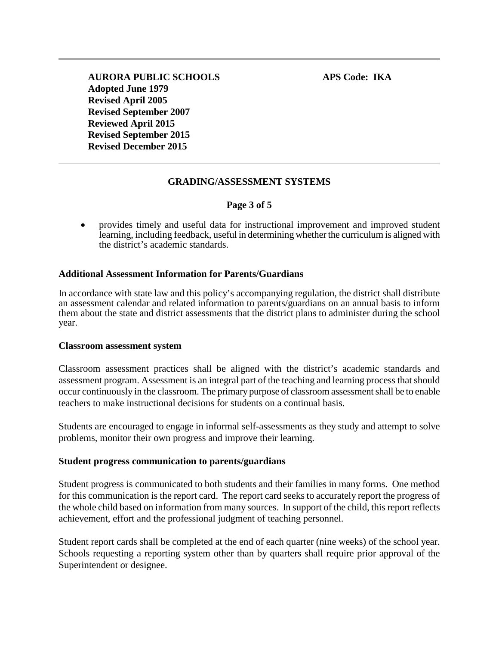# **GRADING/ASSESSMENT SYSTEMS**

## **Page 3 of 5**

• provides timely and useful data for instructional improvement and improved student learning, including feedback, useful in determining whether the curriculum is aligned with the district's academic standards.

## **Additional Assessment Information for Parents/Guardians**

In accordance with state law and this policy's accompanying regulation, the district shall distribute an assessment calendar and related information to parents/guardians on an annual basis to inform them about the state and district assessments that the district plans to administer during the school year.

### **Classroom assessment system**

Classroom assessment practices shall be aligned with the district's academic standards and assessment program. Assessment is an integral part of the teaching and learning process that should occur continuously in the classroom. The primary purpose of classroom assessment shall be to enable teachers to make instructional decisions for students on a continual basis.

Students are encouraged to engage in informal self-assessments as they study and attempt to solve problems, monitor their own progress and improve their learning.

### **Student progress communication to parents/guardians**

Student progress is communicated to both students and their families in many forms. One method for this communication is the report card. The report card seeks to accurately report the progress of the whole child based on information from many sources. In support of the child, this report reflects achievement, effort and the professional judgment of teaching personnel.

Student report cards shall be completed at the end of each quarter (nine weeks) of the school year. Schools requesting a reporting system other than by quarters shall require prior approval of the Superintendent or designee.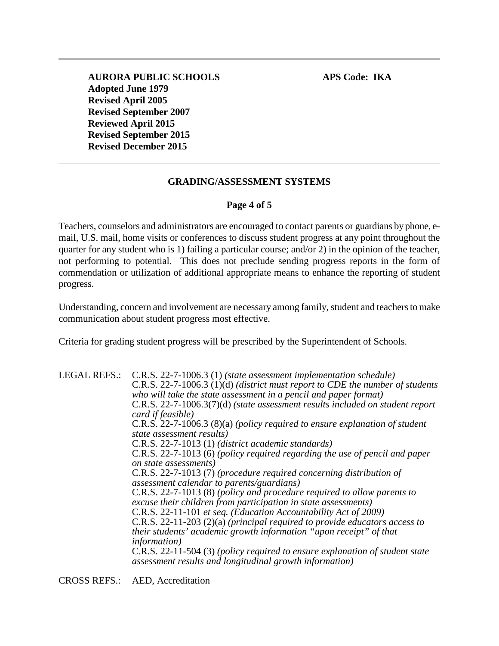### **GRADING/ASSESSMENT SYSTEMS**

### **Page 4 of 5**

Teachers, counselors and administrators are encouraged to contact parents or guardians by phone, email, U.S. mail, home visits or conferences to discuss student progress at any point throughout the quarter for any student who is 1) failing a particular course; and/or 2) in the opinion of the teacher, not performing to potential. This does not preclude sending progress reports in the form of commendation or utilization of additional appropriate means to enhance the reporting of student progress.

Understanding, concern and involvement are necessary among family, student and teachers to make communication about student progress most effective.

Criteria for grading student progress will be prescribed by the Superintendent of Schools.

LEGAL REFS.: C.R.S. 22-7-1006.3 (1) *(state assessment implementation schedule)* C.R.S. 22-7-1006.3 (1)(d) *(district must report to CDE the number of students who will take the state assessment in a pencil and paper format)* C.R.S. 22-7-1006.3(7)(d) *(state assessment results included on student report card if feasible)* C.R.S. 22-7-1006.3 (8)(a) *(policy required to ensure explanation of student state assessment results)* C.R.S. 22-7-1013 (1) *(district academic standards)* C.R.S. 22-7-1013 (6) *(policy required regarding the use of pencil and paper on state assessments)* C.R.S. 22-7-1013 (7) *(procedure required concerning distribution of assessment calendar to parents/guardians)* C.R.S. 22-7-1013 (8) *(policy and procedure required to allow parents to excuse their children from participation in state assessments)* C.R.S. 22-11-101 *et seq. (Education Accountability Act of 2009)* C.R.S. 22-11-203 (2)(a) *(principal required to provide educators access to their students' academic growth information "upon receipt" of that information)* C.R.S. 22-11-504 (3) *(policy required to ensure explanation of student state assessment results and longitudinal growth information)*

CROSS REFS.: AED, Accreditation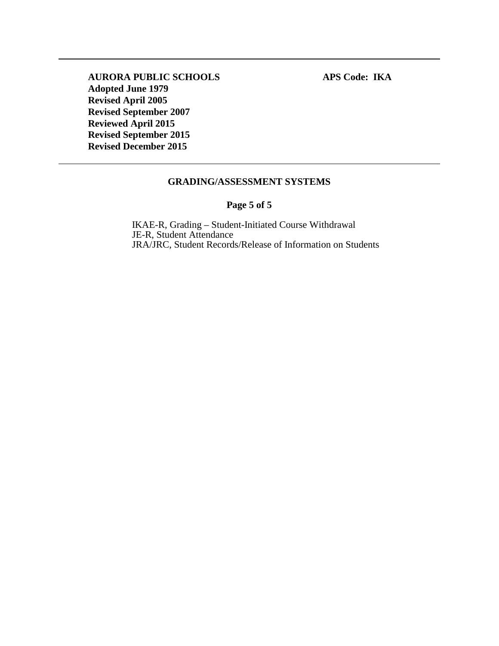### **GRADING/ASSESSMENT SYSTEMS**

## **Page 5 of 5**

IKAE-R, Grading – Student-Initiated Course Withdrawal JE-R, Student Attendance JRA/JRC, Student Records/Release of Information on Students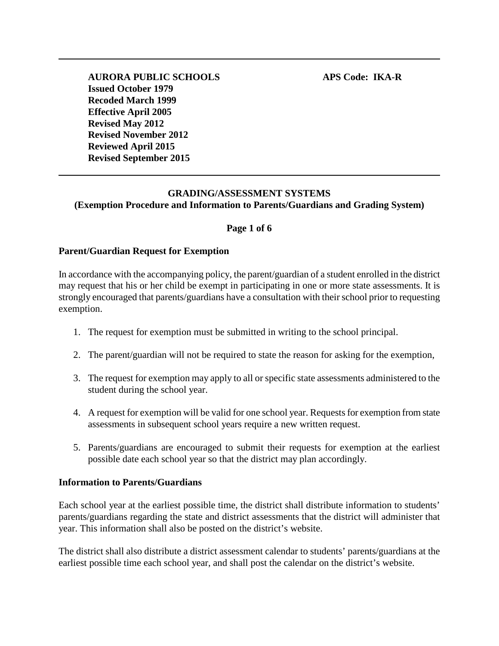# **GRADING/ASSESSMENT SYSTEMS (Exemption Procedure and Information to Parents/Guardians and Grading System)**

### **Page 1 of 6**

#### **Parent/Guardian Request for Exemption**

In accordance with the accompanying policy, the parent/guardian of a student enrolled in the district may request that his or her child be exempt in participating in one or more state assessments. It is strongly encouraged that parents/guardians have a consultation with their school prior to requesting exemption.

- 1. The request for exemption must be submitted in writing to the school principal.
- 2. The parent/guardian will not be required to state the reason for asking for the exemption,
- 3. The request for exemption may apply to all or specific state assessments administered to the student during the school year.
- 4. A request for exemption will be valid for one school year. Requests for exemption from state assessments in subsequent school years require a new written request.
- 5. Parents/guardians are encouraged to submit their requests for exemption at the earliest possible date each school year so that the district may plan accordingly.

#### **Information to Parents/Guardians**

Each school year at the earliest possible time, the district shall distribute information to students' parents/guardians regarding the state and district assessments that the district will administer that year. This information shall also be posted on the district's website.

The district shall also distribute a district assessment calendar to students' parents/guardians at the earliest possible time each school year, and shall post the calendar on the district's website.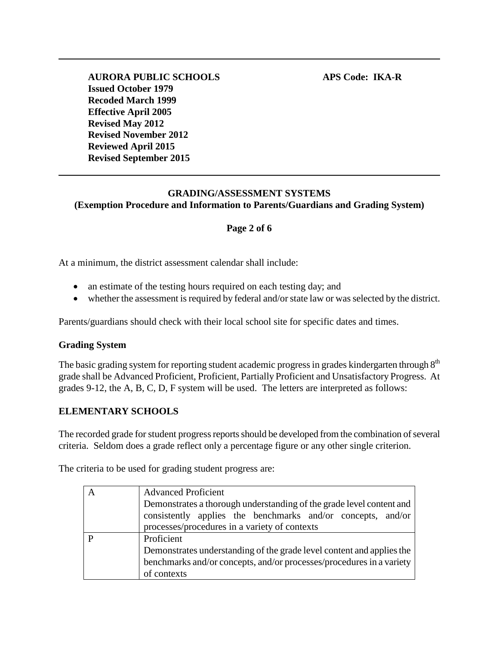# **GRADING/ASSESSMENT SYSTEMS (Exemption Procedure and Information to Parents/Guardians and Grading System)**

# **Page 2 of 6**

At a minimum, the district assessment calendar shall include:

- an estimate of the testing hours required on each testing day; and
- whether the assessment is required by federal and/or state law or was selected by the district.

Parents/guardians should check with their local school site for specific dates and times.

### **Grading System**

The basic grading system for reporting student academic progress in grades kindergarten through 8<sup>th</sup> grade shall be Advanced Proficient, Proficient, Partially Proficient and Unsatisfactory Progress. At grades 9-12, the A, B, C, D, F system will be used. The letters are interpreted as follows:

### **ELEMENTARY SCHOOLS**

The recorded grade for student progress reports should be developed from the combination of several criteria. Seldom does a grade reflect only a percentage figure or any other single criterion.

The criteria to be used for grading student progress are:

| <b>Advanced Proficient</b><br>Demonstrates a thorough understanding of the grade level content and<br>consistently applies the benchmarks and/or concepts, and/or<br>processes/procedures in a variety of contexts |
|--------------------------------------------------------------------------------------------------------------------------------------------------------------------------------------------------------------------|
| Proficient<br>Demonstrates understanding of the grade level content and applies the<br>benchmarks and/or concepts, and/or processes/procedures in a variety<br>of contexts                                         |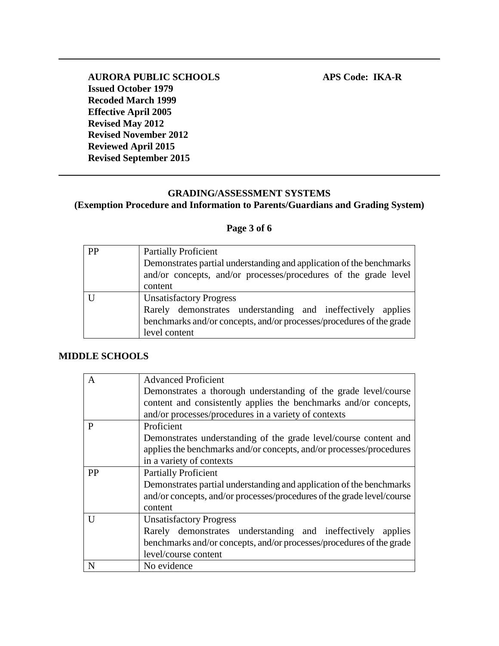## **GRADING/ASSESSMENT SYSTEMS (Exemption Procedure and Information to Parents/Guardians and Grading System)**

## **Page 3 of 6**

| PP | <b>Partially Proficient</b>                                          |
|----|----------------------------------------------------------------------|
|    | Demonstrates partial understanding and application of the benchmarks |
|    | and/or concepts, and/or processes/procedures of the grade level      |
|    | content                                                              |
|    | <b>Unsatisfactory Progress</b>                                       |
|    | Rarely demonstrates understanding and ineffectively applies          |
|    | benchmarks and/or concepts, and/or processes/procedures of the grade |
|    | level content                                                        |

### **MIDDLE SCHOOLS**

| A         | <b>Advanced Proficient</b>                                             |
|-----------|------------------------------------------------------------------------|
|           | Demonstrates a thorough understanding of the grade level/course        |
|           | content and consistently applies the benchmarks and/or concepts,       |
|           | and/or processes/procedures in a variety of contexts                   |
| P         | Proficient                                                             |
|           | Demonstrates understanding of the grade level/course content and       |
|           | applies the benchmarks and/or concepts, and/or processes/procedures    |
|           | in a variety of contexts                                               |
| <b>PP</b> | <b>Partially Proficient</b>                                            |
|           | Demonstrates partial understanding and application of the benchmarks   |
|           | and/or concepts, and/or processes/procedures of the grade level/course |
|           | content                                                                |
| U         | <b>Unsatisfactory Progress</b>                                         |
|           | Rarely demonstrates understanding and ineffectively<br>applies         |
|           | benchmarks and/or concepts, and/or processes/procedures of the grade   |
|           | level/course content                                                   |
| N         | No evidence                                                            |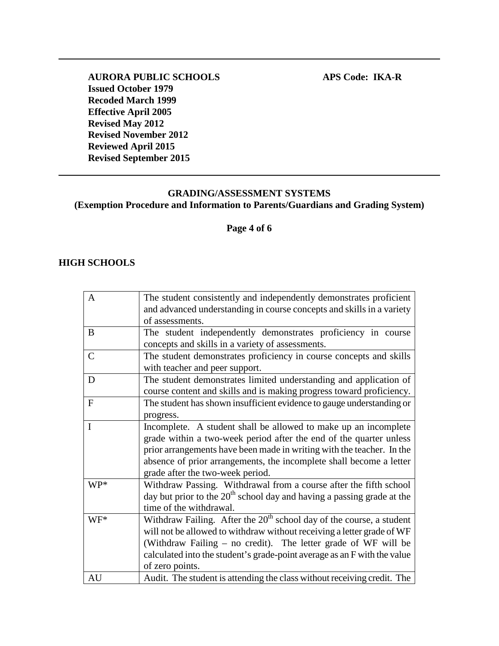# **GRADING/ASSESSMENT SYSTEMS (Exemption Procedure and Information to Parents/Guardians and Grading System)**

**Page 4 of 6**

### **HIGH SCHOOLS**

| A             | The student consistently and independently demonstrates proficient<br>and advanced understanding in course concepts and skills in a variety |
|---------------|---------------------------------------------------------------------------------------------------------------------------------------------|
|               | of assessments.                                                                                                                             |
| B             | The student independently demonstrates proficiency in course                                                                                |
|               | concepts and skills in a variety of assessments.                                                                                            |
| $\mathcal{C}$ | The student demonstrates proficiency in course concepts and skills                                                                          |
|               | with teacher and peer support.                                                                                                              |
| D             | The student demonstrates limited understanding and application of                                                                           |
|               | course content and skills and is making progress toward proficiency.                                                                        |
| ${\bf F}$     | The student has shown insufficient evidence to gauge understanding or                                                                       |
|               | progress.                                                                                                                                   |
| $\mathbf I$   | Incomplete. A student shall be allowed to make up an incomplete                                                                             |
|               | grade within a two-week period after the end of the quarter unless                                                                          |
|               | prior arrangements have been made in writing with the teacher. In the                                                                       |
|               | absence of prior arrangements, the incomplete shall become a letter                                                                         |
|               | grade after the two-week period.                                                                                                            |
| WP*           | Withdraw Passing. Withdrawal from a course after the fifth school                                                                           |
|               | day but prior to the $20th$ school day and having a passing grade at the                                                                    |
|               | time of the withdrawal.                                                                                                                     |
| $WF^*$        | Withdraw Failing. After the $20th$ school day of the course, a student                                                                      |
|               | will not be allowed to withdraw without receiving a letter grade of WF                                                                      |
|               | (Withdraw Failing – no credit). The letter grade of WF will be                                                                              |
|               |                                                                                                                                             |
|               | calculated into the student's grade-point average as an F with the value                                                                    |
|               | of zero points.                                                                                                                             |
| AU            | Audit. The student is attending the class without receiving credit. The                                                                     |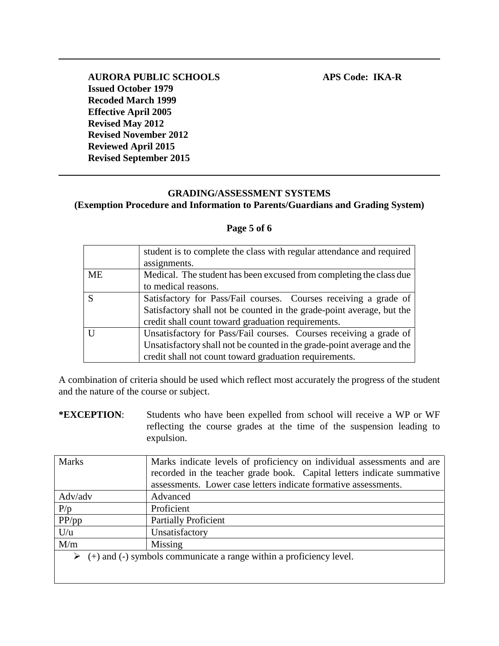# **GRADING/ASSESSMENT SYSTEMS (Exemption Procedure and Information to Parents/Guardians and Grading System)**

### **Page 5 of 6**

|           | student is to complete the class with regular attendance and required  |
|-----------|------------------------------------------------------------------------|
|           | assignments.                                                           |
| <b>ME</b> | Medical. The student has been excused from completing the class due    |
|           | to medical reasons.                                                    |
| S         | Satisfactory for Pass/Fail courses. Courses receiving a grade of       |
|           | Satisfactory shall not be counted in the grade-point average, but the  |
|           | credit shall count toward graduation requirements.                     |
|           | Unsatisfactory for Pass/Fail courses. Courses receiving a grade of     |
|           | Unsatisfactory shall not be counted in the grade-point average and the |
|           | credit shall not count toward graduation requirements.                 |

A combination of criteria should be used which reflect most accurately the progress of the student and the nature of the course or subject.

**\*EXCEPTION**: Students who have been expelled from school will receive a WP or WF reflecting the course grades at the time of the suspension leading to expulsion.

| <b>Marks</b>                                                                         | Marks indicate levels of proficiency on individual assessments and are |  |
|--------------------------------------------------------------------------------------|------------------------------------------------------------------------|--|
|                                                                                      | recorded in the teacher grade book. Capital letters indicate summative |  |
|                                                                                      | assessments. Lower case letters indicate formative assessments.        |  |
| Adv/adv                                                                              | Advanced                                                               |  |
| P/p                                                                                  | Proficient                                                             |  |
| PP(pp                                                                                | <b>Partially Proficient</b>                                            |  |
| U/u                                                                                  | Unsatisfactory                                                         |  |
| M/m                                                                                  | Missing                                                                |  |
| $\triangleright$ (+) and (-) symbols communicate a range within a proficiency level. |                                                                        |  |
|                                                                                      |                                                                        |  |